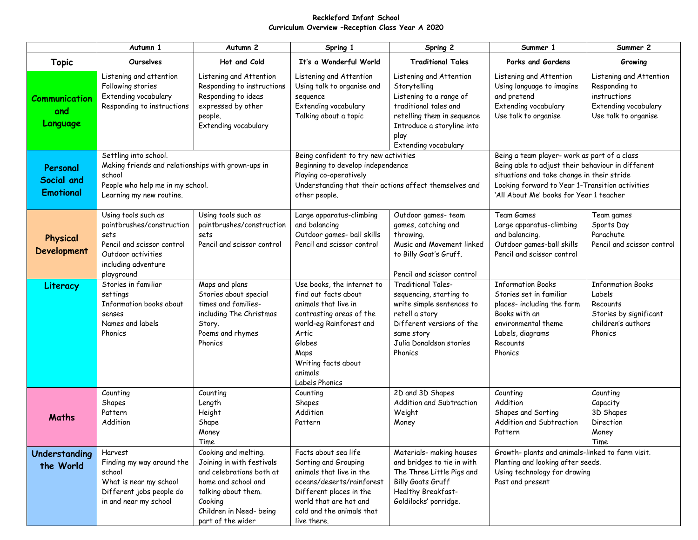## **Reckleford Infant School Curriculum Overview –Reception Class Year A 2020**

|                                            | Autumn 1                                                                                                                                              | Autumn 2                                                                                                                                                                               | Spring 1                                                                                                                                                                                                         | Spring 2                                                                                                                                                                                | Summer 1                                                                                                                                                                                                                                      | Summer 2                                                                                                  |
|--------------------------------------------|-------------------------------------------------------------------------------------------------------------------------------------------------------|----------------------------------------------------------------------------------------------------------------------------------------------------------------------------------------|------------------------------------------------------------------------------------------------------------------------------------------------------------------------------------------------------------------|-----------------------------------------------------------------------------------------------------------------------------------------------------------------------------------------|-----------------------------------------------------------------------------------------------------------------------------------------------------------------------------------------------------------------------------------------------|-----------------------------------------------------------------------------------------------------------|
| <b>Topic</b>                               | Ourselves                                                                                                                                             | Hot and Cold                                                                                                                                                                           | It's a Wonderful World                                                                                                                                                                                           | <b>Traditional Tales</b>                                                                                                                                                                | Parks and Gardens                                                                                                                                                                                                                             | Growing                                                                                                   |
| Communication<br>and<br>Language           | Listening and attention<br>Following stories<br>Extending vocabulary<br>Responding to instructions                                                    | Listening and Attention<br>Responding to instructions<br>Responding to ideas<br>expressed by other<br>people.<br>Extending vocabulary                                                  | Listening and Attention<br>Using talk to organise and<br>sequence<br>Extending vocabulary<br>Talking about a topic                                                                                               | Listening and Attention<br>Storytelling<br>Listening to a range of<br>traditional tales and<br>retelling them in sequence<br>Introduce a storyline into<br>play<br>Extending vocabulary | Listening and Attention<br>Using language to imagine<br>and pretend<br>Extending vocabulary<br>Use talk to organise                                                                                                                           | Listening and Attention<br>Responding to<br>instructions<br>Extending vocabulary<br>Use talk to organise  |
| Personal<br>Social and<br><b>Emotional</b> | Settling into school.<br>Making friends and relationships with grown-ups in<br>school<br>People who help me in my school.<br>Learning my new routine. |                                                                                                                                                                                        | Being confident to try new activities<br>Beginning to develop independence<br>Playing co-operatively<br>Understanding that their actions affect themselves and<br>other people.                                  |                                                                                                                                                                                         | Being a team player- work as part of a class<br>Being able to adjust their behaviour in different<br>situations and take change in their stride<br>Looking forward to Year 1-Transition activities<br>'All About Me' books for Year 1 teacher |                                                                                                           |
| Physical<br><b>Development</b>             | Using tools such as<br>paintbrushes/construction<br>sets<br>Pencil and scissor control<br>Outdoor activities<br>including adventure<br>playground     | Using tools such as<br>paintbrushes/construction<br>sets<br>Pencil and scissor control                                                                                                 | Large apparatus-climbing<br>and balancing<br>Outdoor games- ball skills<br>Pencil and scissor control                                                                                                            | Outdoor games-team<br>games, catching and<br>throwing.<br>Music and Movement linked<br>to Billy Goat's Gruff.<br>Pencil and scissor control                                             | Team Games<br>Large apparatus-climbing<br>and balancing.<br>Outdoor games-ball skills<br>Pencil and scissor control                                                                                                                           | Team games<br>Sports Day<br>Parachute<br>Pencil and scissor control                                       |
| Literacy                                   | Stories in familiar<br>settings<br>Information books about<br>senses<br>Names and labels<br>Phonics                                                   | Maps and plans<br>Stories about special<br>times and families-<br>including The Christmas<br>Story.<br>Poems and rhymes<br>Phonics                                                     | Use books, the internet to<br>find out facts about<br>animals that live in<br>contrasting areas of the<br>world-eg Rainforest and<br>Artic<br>Globes<br>Maps<br>Writing facts about<br>animals<br>Labels Phonics | <b>Traditional Tales-</b><br>sequencing, starting to<br>write simple sentences to<br>retell a story<br>Different versions of the<br>same story<br>Julia Donaldson stories<br>Phonics    | <b>Information Books</b><br>Stories set in familiar<br>places- including the farm<br>Books with an<br>environmental theme<br>Labels, diagrams<br>Recounts<br>Phonics                                                                          | <b>Information Books</b><br>Labels<br>Recounts<br>Stories by significant<br>children's authors<br>Phonics |
| Maths                                      | Counting<br>Shapes<br>Pattern<br>Addition                                                                                                             | Counting<br>Length<br>Height<br>Shape<br>Money<br>Time                                                                                                                                 | Counting<br>Shapes<br>Addition<br>Pattern                                                                                                                                                                        | 2D and 3D Shapes<br>Addition and Subtraction<br>Weight<br>Money                                                                                                                         | Counting<br>Addition<br>Shapes and Sorting<br>Addition and Subtraction<br>Pattern                                                                                                                                                             | Counting<br>Capacity<br>3D Shapes<br>Direction<br>Money<br>Time                                           |
| Understanding<br>the World                 | Harvest<br>Finding my way around the<br>school<br>What is near my school<br>Different jobs people do<br>in and near my school                         | Cooking and melting.<br>Joining in with festivals<br>and celebrations both at<br>home and school and<br>talking about them.<br>Cooking<br>Children in Need- being<br>part of the wider | Facts about sea life<br>Sorting and Grouping<br>animals that live in the<br>oceans/deserts/rainforest<br>Different places in the<br>world that are hot and<br>cold and the animals that<br>live there.           | Materials- making houses<br>and bridges to tie in with<br>The Three Little Pigs and<br>Billy Goats Gruff<br>Healthy Breakfast-<br>Goldilocks' porridge.                                 | Growth- plants and animals-linked to farm visit.<br>Planting and looking after seeds.<br>Using technology for drawing<br>Past and present                                                                                                     |                                                                                                           |